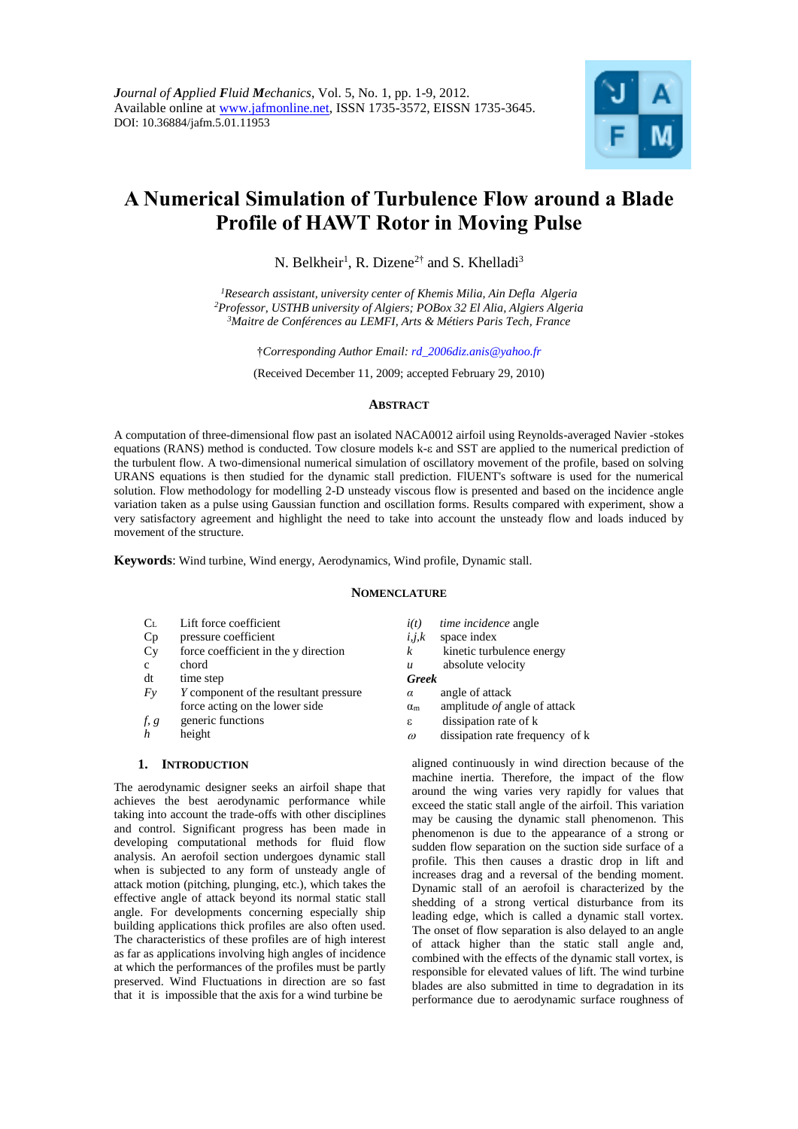

# **A Numerical Simulation of Turbulence Flow around a Blade Profile of HAWT Rotor in Moving Pulse**

N. Belkheir<sup>1</sup>, R. Dizene<sup>2†</sup> and S. Khelladi<sup>3</sup>

*<sup>1</sup>Research assistant, university center of Khemis Milia, Ain Defla Algeria <sup>2</sup>Professor, USTHB university of Algiers; POBox 32 El Alia, Algiers Algeria <sup>3</sup>Maitre de Conférences au LEMFI, Arts & Métiers Paris Tech, France*

†*Corresponding Author Email: rd\_2006diz.anis@yahoo.fr*

(Received December 11, 2009; accepted February 29, 2010)

## **ABSTRACT**

A computation of three-dimensional flow past an isolated NACA0012 airfoil using Reynolds-averaged Navier -stokes equations (RANS) method is conducted. Tow closure models k-ε and SST are applied to the numerical prediction of the turbulent flow. A two-dimensional numerical simulation of oscillatory movement of the profile, based on solving URANS equations is then studied for the dynamic stall prediction. FlUENT's software is used for the numerical solution. Flow methodology for modelling 2-D unsteady viscous flow is presented and based on the incidence angle variation taken as a pulse using Gaussian function and oscillation forms. Results compared with experiment, show a very satisfactory agreement and highlight the need to take into account the unsteady flow and loads induced by movement of the structure.

**Keywords**: Wind turbine, Wind energy, Aerodynamics, Wind profile, Dynamic stall.

## **NOMENCLATURE**

- $C_L$  Lift force coefficient<br>Cp pressure coefficient
- pressure coefficient
- Cy force coefficient in the y direction
- c chord
- dt time step
- *Fy Y* component of the resultant pressure force acting on the lower side
- *f, g* generic functions
- *h* height

#### **1. INTRODUCTION**

The aerodynamic designer seeks an airfoil shape that achieves the best aerodynamic performance while taking into account the trade-offs with other disciplines and control. Significant progress has been made in developing computational methods for fluid flow analysis. An aerofoil section undergoes dynamic stall when is subjected to any form of unsteady angle of attack motion (pitching, plunging, etc.), which takes the effective angle of attack beyond its normal static stall angle. For developments concerning especially ship building applications thick profiles are also often used. The characteristics of these profiles are of high interest as far as applications involving high angles of incidence at which the performances of the profiles must be partly preserved. Wind Fluctuations in direction are so fast that it is impossible that the axis for a wind turbine be

- *i(t) time incidence* angle
- *i,j,k* space index
- $k$  kinetic turbulence energy
- *u* absolute velocity
- *Greek*
- *α* angle of attack
- αm amplitude *of* angle of attack
- dissipation rate of k
- $\omega$  dissipation rate frequency of k

aligned continuously in wind direction because of the machine inertia. Therefore, the impact of the flow around the wing varies very rapidly for values that exceed the static stall angle of the airfoil. This variation may be causing the dynamic stall phenomenon. This phenomenon is due to the appearance of a strong or sudden flow separation on the suction side surface of a profile. This then causes a drastic drop in lift and increases drag and a reversal of the bending moment. Dynamic stall of an aerofoil is characterized by the shedding of a strong vertical disturbance from its leading edge, which is called a dynamic stall vortex. The onset of flow separation is also delayed to an angle of attack higher than the static stall angle and, combined with the effects of the dynamic stall vortex, is responsible for elevated values of lift. The wind turbine blades are also submitted in time to degradation in its performance due to aerodynamic surface roughness of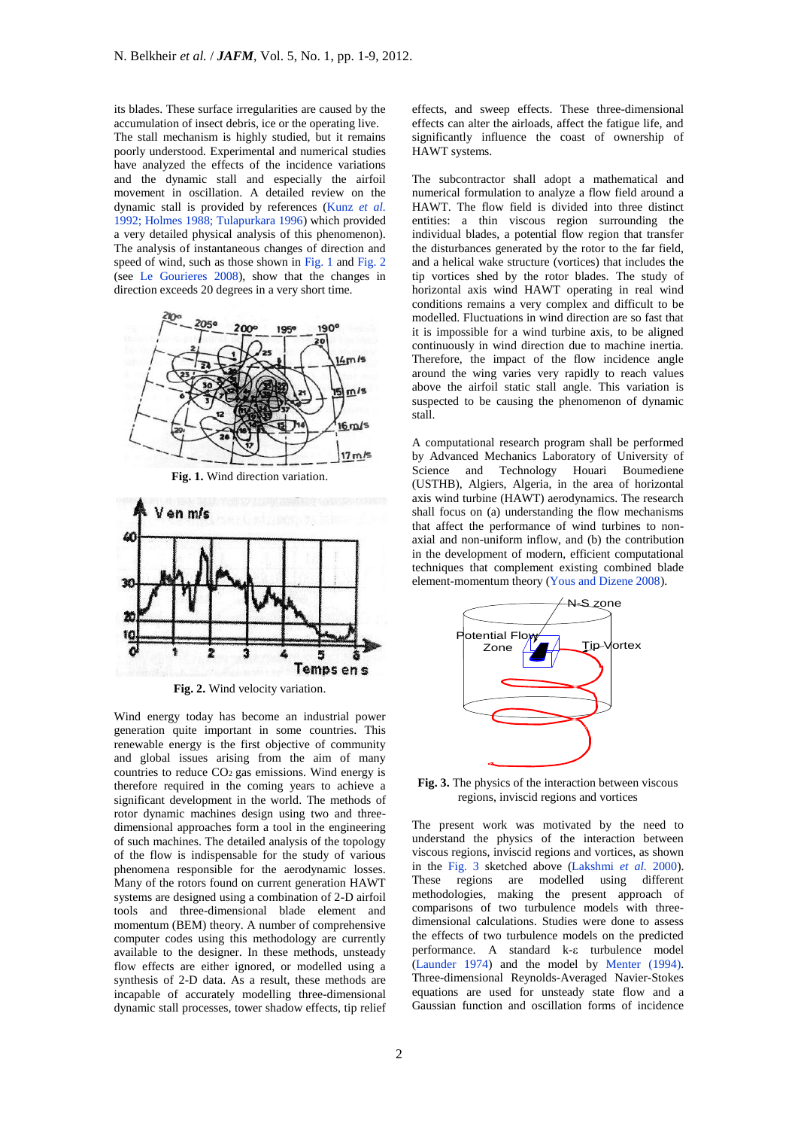its blades. These surface irregularities are caused by the accumulation of insect debris, ice or the operating live.

The stall mechanism is highly studied, but it remains poorly understood. Experimental and numerical studies have analyzed the effects of the incidence variations and the dynamic stall and especially the airfoil movement in oscillation. A detailed review on the dynamic stall is provided by references (Kunz *et al.* 1992; Holmes 1988; Tulapurkara 1996) which provided a very detailed physical analysis of this phenomenon). The analysis of instantaneous changes of direction and speed of wind, such as those shown in Fig. 1 and Fig. 2 (see Le Gourieres 2008), show that the changes in direction exceeds 20 degrees in a very short time.







**Fig. 2.** Wind velocity variation.

Wind energy today has become an industrial power generation quite important in some countries. This renewable energy is the first objective of community and global issues arising from the aim of many countries to reduce  $CO<sub>2</sub>$  gas emissions. Wind energy is therefore required in the coming years to achieve a significant development in the world. The methods of rotor dynamic machines design using two and threedimensional approaches form a tool in the engineering of such machines. The detailed analysis of the topology of the flow is indispensable for the study of various phenomena responsible for the aerodynamic losses. Many of the rotors found on current generation HAWT systems are designed using a combination of 2-D airfoil tools and three-dimensional blade element and momentum (BEM) theory. A number of comprehensive computer codes using this methodology are currently available to the designer. In these methods, unsteady flow effects are either ignored, or modelled using a synthesis of 2-D data. As a result, these methods are incapable of accurately modelling three-dimensional dynamic stall processes, tower shadow effects, tip relief

effects, and sweep effects. These three-dimensional effects can alter the airloads, affect the fatigue life, and significantly influence the coast of ownership of HAWT systems.

The subcontractor shall adopt a mathematical and numerical formulation to analyze a flow field around a HAWT. The flow field is divided into three distinct entities: a thin viscous region surrounding the individual blades, a potential flow region that transfer the disturbances generated by the rotor to the far field, and a helical wake structure (vortices) that includes the tip vortices shed by the rotor blades. The study of horizontal axis wind HAWT operating in real wind conditions remains a very complex and difficult to be modelled. Fluctuations in wind direction are so fast that it is impossible for a wind turbine axis, to be aligned continuously in wind direction due to machine inertia. Therefore, the impact of the flow incidence angle around the wing varies very rapidly to reach values above the airfoil static stall angle. This variation is suspected to be causing the phenomenon of dynamic stall.

A computational research program shall be performed by Advanced Mechanics Laboratory of University of Science and Technology Houari Boumediene (USTHB), Algiers, Algeria, in the area of horizontal axis wind turbine (HAWT) aerodynamics. The research shall focus on (a) understanding the flow mechanisms that affect the performance of wind turbines to nonaxial and non-uniform inflow, and (b) the contribution in the development of modern, efficient computational techniques that complement existing combined blade element-momentum theory (Yous and Dizene 2008).



**Fig. 3.** The physics of the interaction between viscous regions, inviscid regions and vortices

The present work was motivated by the need to understand the physics of the interaction between viscous regions, inviscid regions and vortices, as shown in the Fig. 3 sketched above (Lakshmi *et al.* 2000). These regions are modelled using different methodologies, making the present approach of comparisons of two turbulence models with threedimensional calculations. Studies were done to assess the effects of two turbulence models on the predicted performance. A standard k- $\varepsilon$  turbulence model (Launder 1974) and the model by Menter (1994). Three-dimensional Reynolds-Averaged Navier-Stokes equations are used for unsteady state flow and a Gaussian function and oscillation forms of incidence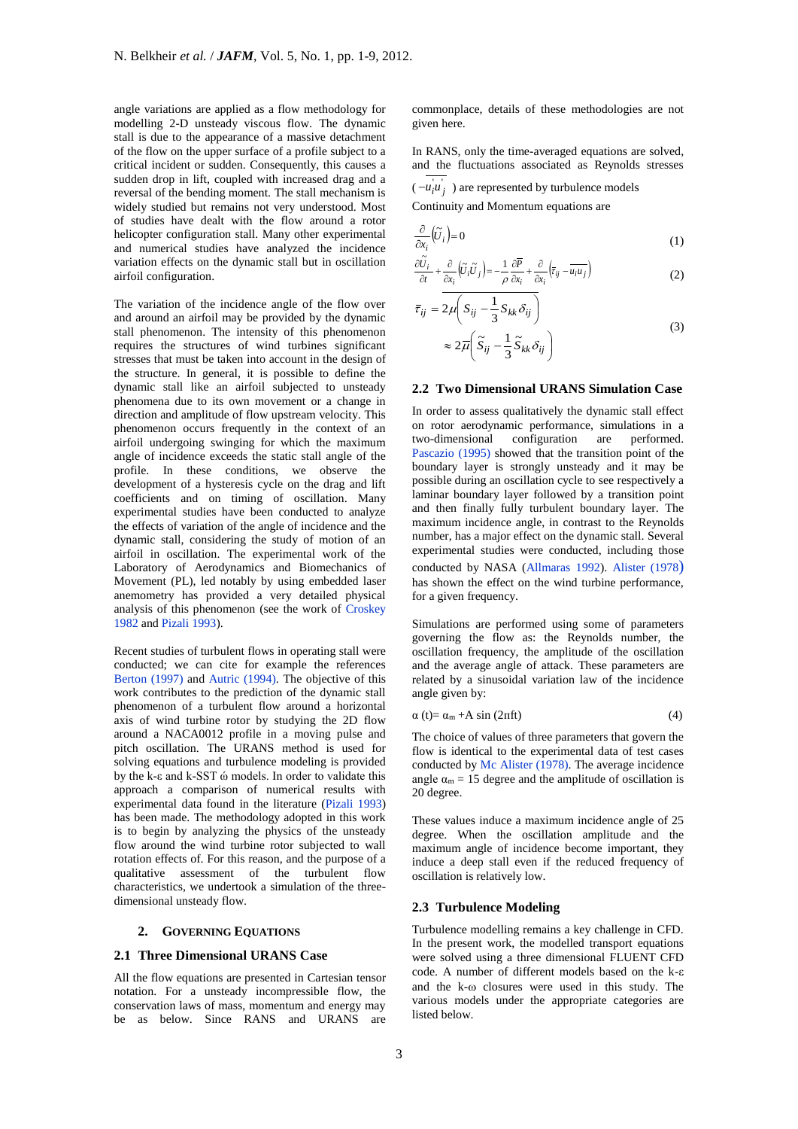angle variations are applied as a flow methodology for modelling 2-D unsteady viscous flow. The dynamic stall is due to the appearance of a massive detachment of the flow on the upper surface of a profile subject to a critical incident or sudden. Consequently, this causes a sudden drop in lift, coupled with increased drag and a reversal of the bending moment. The stall mechanism is widely studied but remains not very understood. Most of studies have dealt with the flow around a rotor helicopter configuration stall. Many other experimental and numerical studies have analyzed the incidence variation effects on the dynamic stall but in oscillation airfoil configuration.

The variation of the incidence angle of the flow over and around an airfoil may be provided by the dynamic stall phenomenon. The intensity of this phenomenon requires the structures of wind turbines significant stresses that must be taken into account in the design of the structure. In general, it is possible to define the dynamic stall like an airfoil subjected to unsteady phenomena due to its own movement or a change in direction and amplitude of flow upstream velocity. This phenomenon occurs frequently in the context of an airfoil undergoing swinging for which the maximum angle of incidence exceeds the static stall angle of the profile. In these conditions, we observe the development of a hysteresis cycle on the drag and lift coefficients and on timing of oscillation. Many experimental studies have been conducted to analyze the effects of variation of the angle of incidence and the dynamic stall, considering the study of motion of an airfoil in oscillation. The experimental work of the Laboratory of Aerodynamics and Biomechanics of Movement (PL), led notably by using embedded laser anemometry has provided a very detailed physical analysis of this phenomenon (see the work of Croskey 1982 and Pizali 1993).

Recent studies of turbulent flows in operating stall were conducted; we can cite for example the references Berton (1997) and Autric (1994). The objective of this work contributes to the prediction of the dynamic stall phenomenon of a turbulent flow around a horizontal axis of wind turbine rotor by studying the 2D flow around a NACA0012 profile in a moving pulse and pitch oscillation. The URANS method is used for solving equations and turbulence modeling is provided by the k-ε and k-SST ώ models. In order to validate this approach a comparison of numerical results with experimental data found in the literature (Pizali 1993) has been made. The methodology adopted in this work is to begin by analyzing the physics of the unsteady flow around the wind turbine rotor subjected to wall rotation effects of. For this reason, and the purpose of a qualitative assessment of the turbulent flow characteristics, we undertook a simulation of the threedimensional unsteady flow.

## **2. GOVERNING EQUATIONS**

### **2.1 Three Dimensional URANS Case**

All the flow equations are presented in Cartesian tensor notation. For a unsteady incompressible flow, the conservation laws of mass, momentum and energy may be as below. Since RANS and URANS are

commonplace, details of these methodologies are not given here.

In RANS, only the time-averaged equations are solved, and the fluctuations associated as Reynolds stresses

 $(-u_i u_j)$  are represented by turbulence models Continuity and Momentum equations are

$$
\frac{\partial}{\partial x_i}(\widetilde{U}_i) = 0\tag{1}
$$

$$
\frac{\partial \widetilde{U}_i}{\partial t} + \frac{\partial}{\partial x_i} \left( \widetilde{U}_i \widetilde{U}_j \right) = -\frac{1}{\rho} \frac{\partial \overline{P}}{\partial x_i} + \frac{\partial}{\partial x_i} \left( \overline{\tau}_{ij} - \overline{u_i u_j} \right)
$$
(2)

$$
\overline{\tau}_{ij} = 2\mu \left( S_{ij} - \frac{1}{3} S_{kk} \delta_{ij} \right)
$$
  

$$
\approx 2\overline{\mu} \left( \widetilde{S}_{ij} - \frac{1}{3} \widetilde{S}_{kk} \delta_{ij} \right)
$$
 (3)

## **2.2 Two Dimensional URANS Simulation Case**

In order to assess qualitatively the dynamic stall effect on rotor aerodynamic performance, simulations in a two-dimensional configuration are performed. Pascazio (1995) showed that the transition point of the boundary layer is strongly unsteady and it may be possible during an oscillation cycle to see respectively a laminar boundary layer followed by a transition point and then finally fully turbulent boundary layer. The maximum incidence angle, in contrast to the Reynolds number, has a major effect on the dynamic stall. Several experimental studies were conducted, including those conducted by NASA (Allmaras 1992). Alister (1978) has shown the effect on the wind turbine performance, for a given frequency.

Simulations are performed using some of parameters governing the flow as: the Reynolds number, the oscillation frequency, the amplitude of the oscillation and the average angle of attack. These parameters are related by a sinusoidal variation law of the incidence angle given by:

$$
\alpha(t) = \alpha_m + A \sin(2\pi ft) \tag{4}
$$

The choice of values of three parameters that govern the flow is identical to the experimental data of test cases conducted by Mc Alister (1978). The average incidence angle  $\alpha_m = 15$  degree and the amplitude of oscillation is 20 degree.

These values induce a maximum incidence angle of 25 degree. When the oscillation amplitude and the maximum angle of incidence become important, they induce a deep stall even if the reduced frequency of oscillation is relatively low.

## **2.3 Turbulence Modeling**

Turbulence modelling remains a key challenge in CFD. In the present work, the modelled transport equations were solved using a three dimensional FLUENT CFD code. A number of different models based on the k and the  $k-\omega$  closures were used in this study. The various models under the appropriate categories are listed below.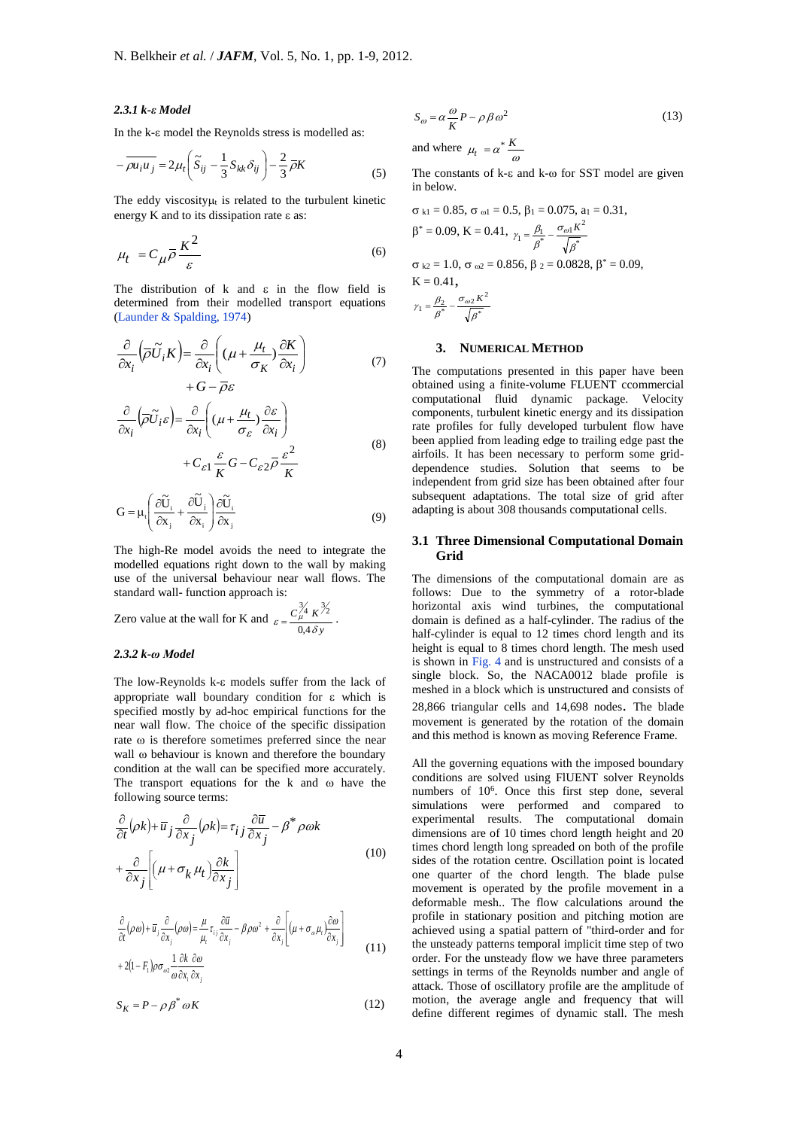#### *2.3.1 k-ε Model*

In the k- $\varepsilon$  model the Reynolds stress is modelled as:

$$
-\overline{\rho u_i u_j} = 2\mu_t \left( \widetilde{S}_{ij} - \frac{1}{3} S_{kk} \delta_{ij} \right) - \frac{2}{3} \overline{\rho} K \tag{5}
$$

The eddy viscosity $\mu_t$  is related to the turbulent kinetic energy  $K$  and to its dissipation rate  $\varepsilon$  as:

$$
\mu_t = C_{\mu} \overline{\rho} \frac{K^2}{\varepsilon} \tag{6}
$$

The distribution of  $k$  and  $\epsilon$  in the flow field is determined from their modelled transport equations (Launder & Spalding, 1974)

$$
\frac{\partial}{\partial x_i} \left( \overline{\rho} \widetilde{U}_i K \right) = \frac{\partial}{\partial x_i} \left( (\mu + \frac{\mu_t}{\sigma_K}) \frac{\partial K}{\partial x_i} \right) + G - \overline{\rho} \varepsilon \tag{7}
$$

$$
\frac{\partial}{\partial x_i} \left( \overline{\rho} \widetilde{U}_i \varepsilon \right) = \frac{\partial}{\partial x_i} \left( (\mu + \frac{\mu_t}{\sigma_{\varepsilon}}) \frac{\partial \varepsilon}{\partial x_i} \right) + C_{\varepsilon 1} \frac{\varepsilon}{K} G - C_{\varepsilon 2} \overline{\rho} \frac{\varepsilon^2}{K}
$$
\n(8)

$$
G = \mu_{t} \left( \frac{\partial \widetilde{U}_{i}}{\partial x_{j}} + \frac{\partial \widetilde{U}_{j}}{\partial x_{i}} \right) \frac{\partial \widetilde{U}_{i}}{\partial x_{j}}
$$
(9)

The high-Re model avoids the need to integrate the modelled equations right down to the wall by making use of the universal behaviour near wall flows. The standard wall- function approach is:

Zero value at the wall for K and 
$$
\varepsilon = \frac{C_{\mu}^{\frac{3}{4}} K^{\frac{3}{2}}}{0.4 \delta y}
$$
.

#### *2.3.2 k-ω Model*

The low-Reynolds  $k$ - $\varepsilon$  models suffer from the lack of appropriate wall boundary condition for  $\varepsilon$  which is specified mostly by ad-hoc empirical functions for the near wall flow. The choice of the specific dissipation rate  $\omega$  is therefore sometimes preferred since the near wall  $\omega$  behaviour is known and therefore the boundary condition at the wall can be specified more accurately. The transport equations for the  $k$  and  $\omega$  have the following source terms:

$$
\frac{\partial}{\partial t}(\rho k) + \overline{u}_j \frac{\partial}{\partial x_j}(\rho k) = \tau_{ij} \frac{\partial \overline{u}}{\partial x_j} - \beta^* \rho \omega k
$$
  
+ 
$$
\frac{\partial}{\partial x_j} \left[ \left( \mu + \sigma_k \mu_t \right) \frac{\partial k}{\partial x_j} \right]
$$
 (10)

$$
\frac{\partial}{\partial t}(\rho \omega) + \overline{u}_j \frac{\partial}{\partial x_j}(\rho \omega) = \frac{\mu}{\mu_i} \tau_{ij} \frac{\partial \overline{u}}{\partial x_j} - \beta \rho \omega^2 + \frac{\partial}{\partial x_j} \left[ (\mu + \sigma_{\omega} \mu_i) \frac{\partial \omega}{\partial x_j} \right] + 2(1 - F_1) \rho \sigma_{\omega 2} \frac{1}{\omega} \frac{\partial k}{\partial x_i} \frac{\partial \omega}{\partial x_j}
$$
\n(11)

$$
S_K = P - \rho \beta^* \omega K \tag{12}
$$

$$
S_{\omega} = \alpha \frac{\omega}{K} P - \rho \beta \omega^2 \tag{13}
$$

and where  $\mu_t = \alpha^* \frac{K}{\alpha}$  $\omega$ 

The constants of  $k$ - $\varepsilon$  and  $k$ - $\omega$  for SST model are given in below.

$$
\sigma_{k1} = 0.85, \sigma_{\omega 1} = 0.5, \beta_1 = 0.075, a_1 = 0.31,\n\beta^* = 0.09, K = 0.41, \gamma_1 = \frac{\beta_1}{\beta^*} - \frac{\sigma_{\omega 1} K^2}{\sqrt{\beta^*}}\n\sigma_{k2} = 1.0, \sigma_{\omega 2} = 0.856, \beta_2 = 0.0828, \beta^* = 0.09,\nK = 0.41,\n\gamma_1 = \frac{\beta_2}{\beta^*} - \frac{\sigma_{\omega 2} K^2}{\sqrt{\beta^*}}
$$

## **3. NUMERICAL METHOD**

The computations presented in this paper have been obtained using a finite-volume FLUENT ccommercial computational fluid dynamic package. Velocity components, turbulent kinetic energy and its dissipation rate profiles for fully developed turbulent flow have been applied from leading edge to trailing edge past the airfoils. It has been necessary to perform some griddependence studies. Solution that seems to be independent from grid size has been obtained after four subsequent adaptations. The total size of grid after adapting is about 308 thousands computational cells.

## **3.1 Three Dimensional Computational Domain Grid**

The dimensions of the computational domain are as follows: Due to the symmetry of a rotor-blade horizontal axis wind turbines, the computational domain is defined as a half-cylinder. The radius of the half-cylinder is equal to 12 times chord length and its height is equal to 8 times chord length. The mesh used is shown in Fig. 4 and is unstructured and consists of a single block. So, the NACA0012 blade profile is meshed in a block which is unstructured and consists of 28,866 triangular cells and 14,698 nodes. The blade movement is generated by the rotation of the domain and this method is known as moving Reference Frame.

All the governing equations with the imposed boundary conditions are solved using FlUENT solver Reynolds numbers of 10<sup>6</sup>. Once this first step done, several simulations were performed and compared to experimental results. The computational domain dimensions are of 10 times chord length height and 20 times chord length long spreaded on both of the profile sides of the rotation centre. Oscillation point is located one quarter of the chord length. The blade pulse movement is operated by the profile movement in a deformable mesh.. The flow calculations around the profile in stationary position and pitching motion are achieved using a spatial pattern of "third-order and for the unsteady patterns temporal implicit time step of two order. For the unsteady flow we have three parameters settings in terms of the Reynolds number and angle of attack. Those of oscillatory profile are the amplitude of motion, the average angle and frequency that will define different regimes of dynamic stall. The mesh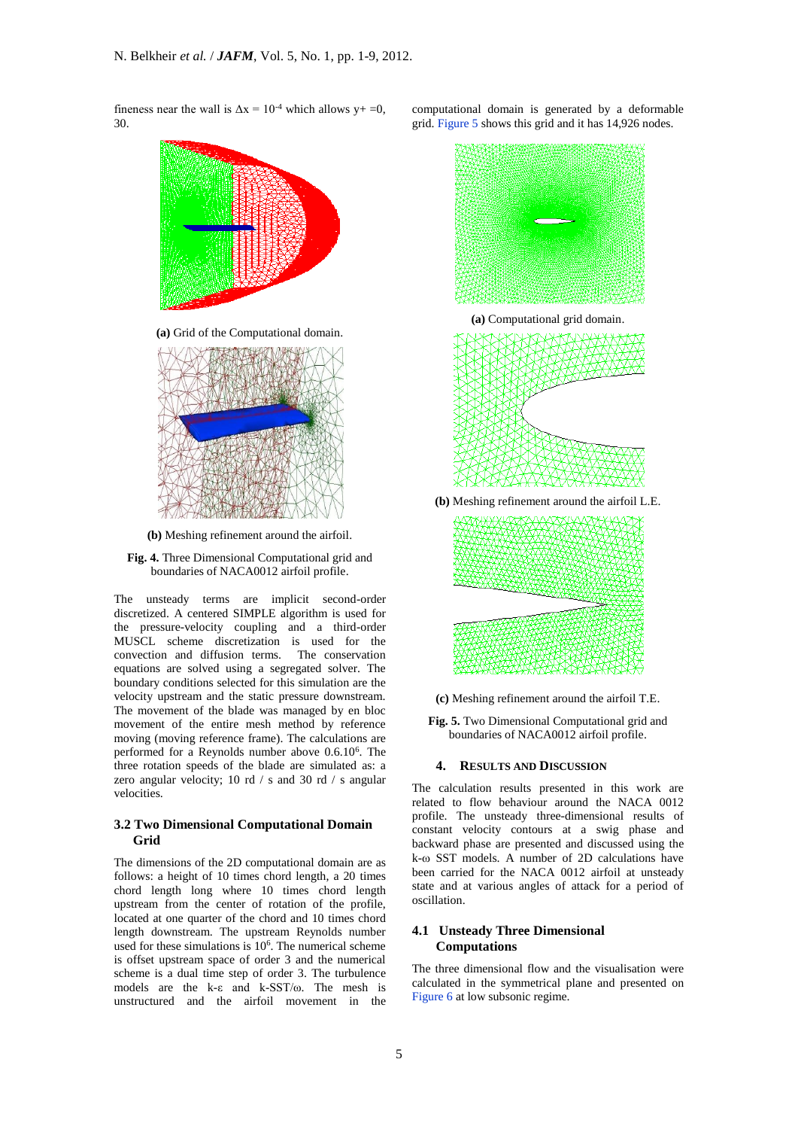fineness near the wall is  $\Delta x = 10^{-4}$  which allows y+ =0, 30.



**(b)** Meshing refinement around the airfoil.

**Fig. 4.** Three Dimensional Computational grid and boundaries of NACA0012 airfoil profile.

The unsteady terms are implicit second-order discretized. A centered SIMPLE algorithm is used for the pressure-velocity coupling and a third-order MUSCL scheme discretization is used for the convection and diffusion terms. The conservation equations are solved using a segregated solver. The boundary conditions selected for this simulation are the velocity upstream and the static pressure downstream. The movement of the blade was managed by en bloc movement of the entire mesh method by reference moving (moving reference frame). The calculations are performed for a Reynolds number above 0.6.10<sup>6</sup> . The three rotation speeds of the blade are simulated as: a zero angular velocity; 10 rd / s and 30 rd / s angular velocities.

#### **3.2 Two Dimensional Computational Domain Grid**

The dimensions of the 2D computational domain are as follows: a height of 10 times chord length, a 20 times chord length long where 10 times chord length upstream from the center of rotation of the profile, located at one quarter of the chord and 10 times chord length downstream. The upstream Reynolds number used for these simulations is 10<sup>6</sup>. The numerical scheme is offset upstream space of order 3 and the numerical scheme is a dual time step of order 3. The turbulence models are the k-ε and k-SST/ω. The mesh is unstructured and the airfoil movement in the

computational domain is generated by a deformable grid. Figure 5 shows this grid and it has 14,926 nodes.





**(c)** Meshing refinement around the airfoil T.E.

**Fig. 5.** Two Dimensional Computational grid and boundaries of NACA0012 airfoil profile.

#### **4. RESULTS AND DISCUSSION**

The calculation results presented in this work are related to flow behaviour around the NACA 0012 profile. The unsteady three-dimensional results of constant velocity contours at a swig phase and backward phase are presented and discussed using the  $k-\omega$  SST models. A number of 2D calculations have been carried for the NACA 0012 airfoil at unsteady state and at various angles of attack for a period of oscillation.

## **4.1 Unsteady Three Dimensional Computations**

The three dimensional flow and the visualisation were calculated in the symmetrical plane and presented on Figure 6 at low subsonic regime.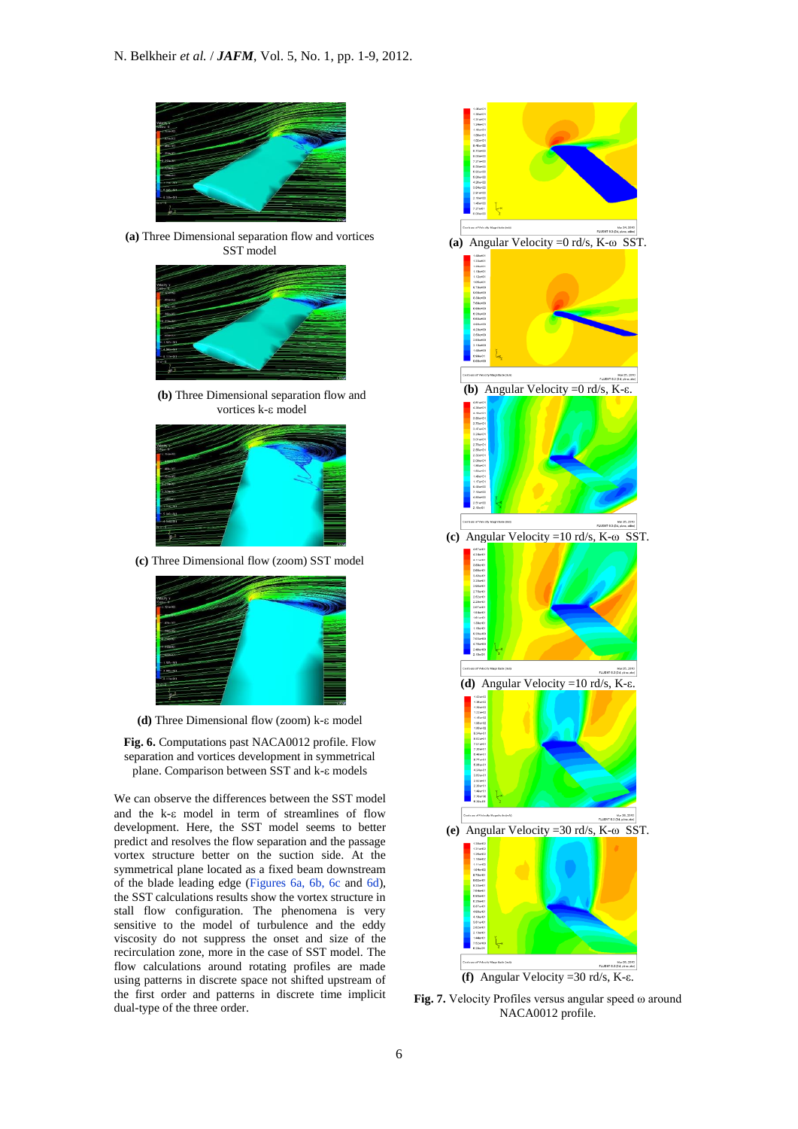

**(a)** Three Dimensional separation flow and vortices SST model



**(b)** Three Dimensional separation flow and vortices k-ε model



**(c)** Three Dimensional flow (zoom) SST model



(d) Three Dimensional flow (zoom) k-ε model

**Fig. 6.** Computations past NACA0012 profile. Flow separation and vortices development in symmetrical plane. Comparison between SST and k- $\varepsilon$  models

We can observe the differences between the SST model and the k- $\varepsilon$  model in term of streamlines of flow development. Here, the SST model seems to better predict and resolves the flow separation and the passage vortex structure better on the suction side. At the symmetrical plane located as a fixed beam downstream of the blade leading edge (Figures 6a, 6b, 6c and 6d), the SST calculations results show the vortex structure in stall flow configuration. The phenomena is very sensitive to the model of turbulence and the eddy viscosity do not suppress the onset and size of the recirculation zone, more in the case of SST model. The flow calculations around rotating profiles are made using patterns in discrete space not shifted upstream of the first order and patterns in discrete time implicit dual-type of the three order.



**Fig. 7.** Velocity Profiles versus angular speed ω around NACA0012 profile.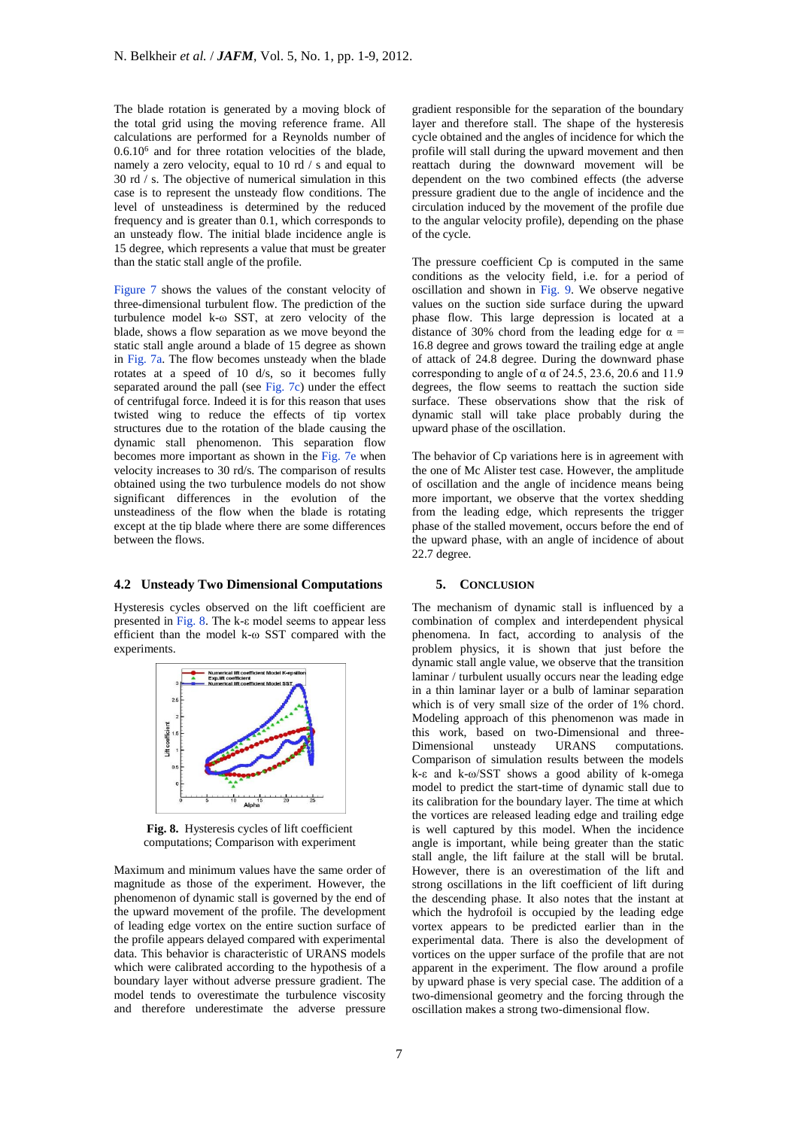The blade rotation is generated by a moving block of the total grid using the moving reference frame. All calculations are performed for a Reynolds number of 0.6.10<sup>6</sup> and for three rotation velocities of the blade, namely a zero velocity, equal to 10 rd / s and equal to 30 rd / s. The objective of numerical simulation in this case is to represent the unsteady flow conditions. The level of unsteadiness is determined by the reduced frequency and is greater than 0.1, which corresponds to an unsteady flow. The initial blade incidence angle is 15 degree, which represents a value that must be greater than the static stall angle of the profile.

Figure 7 shows the values of the constant velocity of three-dimensional turbulent flow. The prediction of the turbulence model k-ω SST, at zero velocity of the blade, shows a flow separation as we move beyond the static stall angle around a blade of 15 degree as shown in Fig. 7a. The flow becomes unsteady when the blade rotates at a speed of 10 d/s, so it becomes fully separated around the pall (see Fig. 7c) under the effect of centrifugal force. Indeed it is for this reason that uses twisted wing to reduce the effects of tip vortex structures due to the rotation of the blade causing the dynamic stall phenomenon. This separation flow becomes more important as shown in the Fig. 7e when velocity increases to 30 rd/s. The comparison of results obtained using the two turbulence models do not show significant differences in the evolution of the unsteadiness of the flow when the blade is rotating except at the tip blade where there are some differences between the flows.

## **4.2 Unsteady Two Dimensional Computations**

Hysteresis cycles observed on the lift coefficient are presented in Fig. 8. The k-ε model seems to appear less efficient than the model k-ω SST compared with the experiments.



**Fig. 8.** Hysteresis cycles of lift coefficient computations; Comparison with experiment

Maximum and minimum values have the same order of magnitude as those of the experiment. However, the phenomenon of dynamic stall is governed by the end of the upward movement of the profile. The development of leading edge vortex on the entire suction surface of the profile appears delayed compared with experimental data. This behavior is characteristic of URANS models which were calibrated according to the hypothesis of a boundary layer without adverse pressure gradient. The model tends to overestimate the turbulence viscosity and therefore underestimate the adverse pressure

gradient responsible for the separation of the boundary layer and therefore stall. The shape of the hysteresis cycle obtained and the angles of incidence for which the profile will stall during the upward movement and then reattach during the downward movement will be dependent on the two combined effects (the adverse pressure gradient due to the angle of incidence and the circulation induced by the movement of the profile due to the angular velocity profile), depending on the phase of the cycle.

The pressure coefficient Cp is computed in the same conditions as the velocity field, i.e. for a period of oscillation and shown in Fig. 9. We observe negative values on the suction side surface during the upward phase flow. This large depression is located at a distance of 30% chord from the leading edge for  $\alpha$  = 16.8 degree and grows toward the trailing edge at angle of attack of 24.8 degree. During the downward phase corresponding to angle of  $\alpha$  of 24.5, 23.6, 20.6 and 11.9 degrees, the flow seems to reattach the suction side surface. These observations show that the risk of dynamic stall will take place probably during the upward phase of the oscillation.

The behavior of Cp variations here is in agreement with the one of Mc Alister test case. However, the amplitude of oscillation and the angle of incidence means being more important, we observe that the vortex shedding from the leading edge, which represents the trigger phase of the stalled movement, occurs before the end of the upward phase, with an angle of incidence of about 22.7 degree.

## **5. CONCLUSION**

The mechanism of dynamic stall is influenced by a combination of complex and interdependent physical phenomena. In fact, according to analysis of the problem physics, it is shown that just before the dynamic stall angle value, we observe that the transition laminar / turbulent usually occurs near the leading edge in a thin laminar layer or a bulb of laminar separation which is of very small size of the order of 1% chord. Modeling approach of this phenomenon was made in this work, based on two-Dimensional and three-Dimensional unsteady URANS computations. Comparison of simulation results between the models k-ε and k-ω/SST shows a good ability of k-omega model to predict the start-time of dynamic stall due to its calibration for the boundary layer. The time at which the vortices are released leading edge and trailing edge is well captured by this model. When the incidence angle is important, while being greater than the static stall angle, the lift failure at the stall will be brutal. However, there is an overestimation of the lift and strong oscillations in the lift coefficient of lift during the descending phase. It also notes that the instant at which the hydrofoil is occupied by the leading edge vortex appears to be predicted earlier than in the experimental data. There is also the development of vortices on the upper surface of the profile that are not apparent in the experiment. The flow around a profile by upward phase is very special case. The addition of a two-dimensional geometry and the forcing through the oscillation makes a strong two-dimensional flow.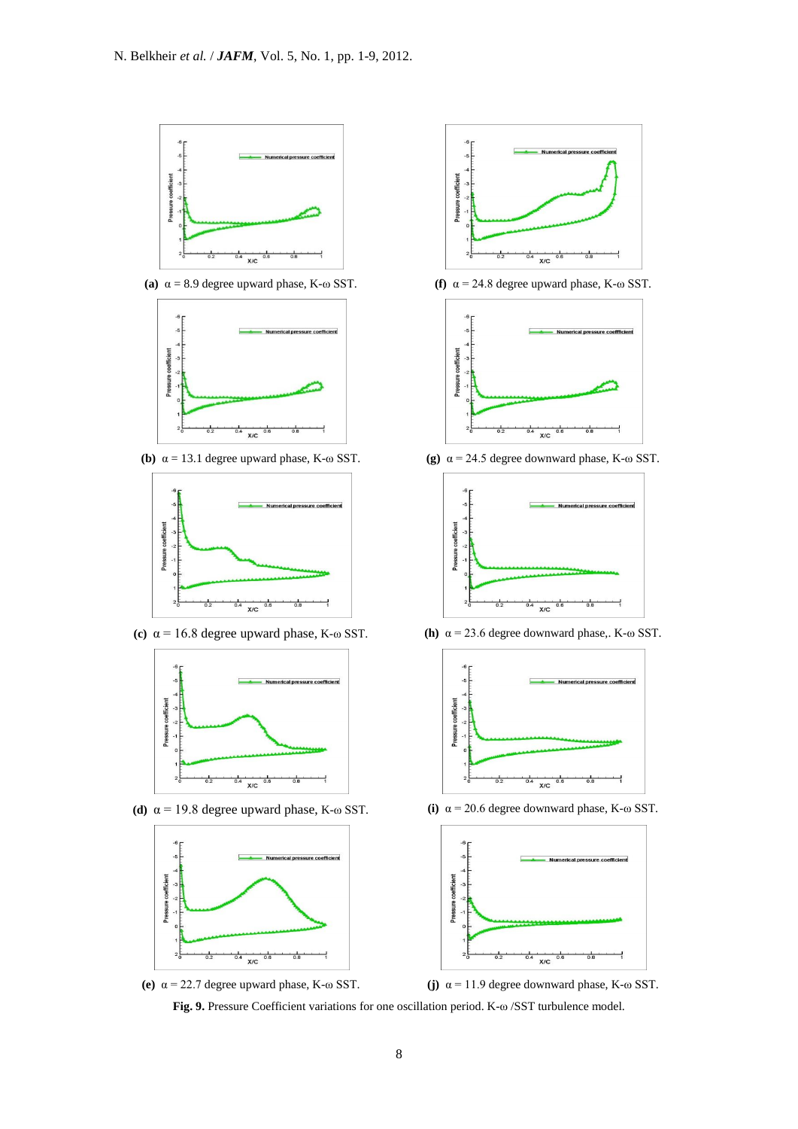

**(a)** α = 8.9 degree upward phase, K-ω SST. **(f)** α = 24.8 degree upward phase, K-ω SST.







**(d)** α = 19.8 degree upward phase, K-ω SST. **(i)** α = 20.6 degree downward phase, K-ω SST.









**(b)** α = 13.1 degree upward phase, K-ω SST. **(g)** α = 24.5 degree downward phase, K-ω SST.



**(c)** α = 16.8 degree upward phase, K-ω SST. **(h)** α = 23.6 degree downward phase,. K-ω SST.





**(e)** α = 22.7 degree upward phase, K-ω SST. **(j)** α = 11.9 degree downward phase, K-ω SST.

**Fig. 9.** Pressure Coefficient variations for one oscillation period. K-ω /SST turbulence model.